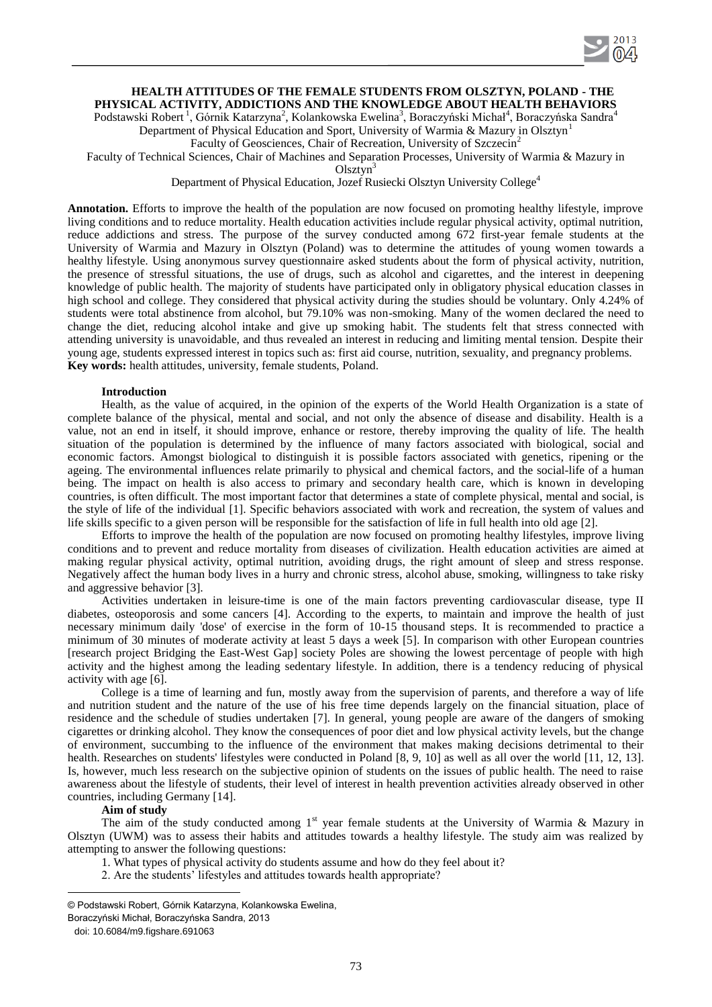

# **HEALTH ATTITUDES OF THE FEMALE STUDENTS FROM OLSZTYN, POLAND - THE PHYSICAL ACTIVITY, ADDICTIONS AND THE KNOWLEDGE ABOUT HEALTH BEHAVIORS**

Podstawski Robert<sup>1</sup>, Górnik Katarzyna<sup>2</sup>, Kolankowska Ewelina<sup>3</sup>, Boraczyński Michał<sup>4</sup>, Boraczyńska Sandra<sup>4</sup>

Department of Physical Education and Sport, University of Warmia & Mazury in Olsztyn<sup>1</sup>

Faculty of Geosciences, Chair of Recreation, University of Szczecin<sup>2</sup>

Faculty of Technical Sciences, Chair of Machines and Separation Processes, University of Warmia & Mazury in  $O$ lsztyn<sup>3</sup>

Department of Physical Education, Jozef Rusiecki Olsztyn University College<sup>4</sup>

**Annotation.** Efforts to improve the health of the population are now focused on promoting healthy lifestyle, improve living conditions and to reduce mortality. Health education activities include regular physical activity, optimal nutrition, reduce addictions and stress. The purpose of the survey conducted among 672 first-year female students at the University of Warmia and Mazury in Olsztyn (Poland) was to determine the attitudes of young women towards a healthy lifestyle. Using anonymous survey questionnaire asked students about the form of physical activity, nutrition, the presence of stressful situations, the use of drugs, such as alcohol and cigarettes, and the interest in deepening knowledge of public health. The majority of students have participated only in obligatory physical education classes in high school and college. They considered that physical activity during the studies should be voluntary. Only 4.24% of students were total abstinence from alcohol, but 79.10% was non-smoking. Many of the women declared the need to change the diet, reducing alcohol intake and give up smoking habit. The students felt that stress connected with attending university is unavoidable, and thus revealed an interest in reducing and limiting mental tension. Despite their young age, students expressed interest in topics such as: first aid course, nutrition, sexuality, and pregnancy problems. **Key words:** health attitudes, university, female students, Poland.

### **Introduction**

Health, as the value of acquired, in the opinion of the experts of the World Health Organization is a state of complete balance of the physical, mental and social, and not only the absence of disease and disability. Health is a value, not an end in itself, it should improve, enhance or restore, thereby improving the quality of life. The health situation of the population is determined by the influence of many factors associated with biological, social and economic factors. Amongst biological to distinguish it is possible factors associated with genetics, ripening or the ageing. The environmental influences relate primarily to physical and chemical factors, and the social-life of a human being. The impact on health is also access to primary and secondary health care, which is known in developing countries, is often difficult. The most important factor that determines a state of complete physical, mental and social, is the style of life of the individual [1]. Specific behaviors associated with work and recreation, the system of values and life skills specific to a given person will be responsible for the satisfaction of life in full health into old age [2].

Efforts to improve the health of the population are now focused on promoting healthy lifestyles, improve living conditions and to prevent and reduce mortality from diseases of civilization. Health education activities are aimed at making regular physical activity, optimal nutrition, avoiding drugs, the right amount of sleep and stress response. Negatively affect the human body lives in a hurry and chronic stress, alcohol abuse, smoking, willingness to take risky and aggressive behavior [3].

Activities undertaken in leisure-time is one of the main factors preventing cardiovascular disease, type II diabetes, osteoporosis and some cancers [4]. According to the experts, to maintain and improve the health of just necessary minimum daily 'dose' of exercise in the form of 10-15 thousand steps. It is recommended to practice a minimum of 30 minutes of moderate activity at least 5 days a week [5]. In comparison with other European countries [research project Bridging the East-West Gap] society Poles are showing the lowest percentage of people with high activity and the highest among the leading sedentary lifestyle. In addition, there is a tendency reducing of physical activity with age [6].

College is a time of learning and fun, mostly away from the supervision of parents, and therefore a way of life and nutrition student and the nature of the use of his free time depends largely on the financial situation, place of residence and the schedule of studies undertaken [7]. In general, young people are aware of the dangers of smoking cigarettes or drinking alcohol. They know the consequences of poor diet and low physical activity levels, but the change of environment, succumbing to the influence of the environment that makes making decisions detrimental to their health. Researches on students' lifestyles were conducted in Poland [8, 9, 10] as well as all over the world [11, 12, 13]. Is, however, much less research on the subjective opinion of students on the issues of public health. The need to raise awareness about the lifestyle of students, their level of interest in health prevention activities already observed in other countries, including Germany [14].

### **Aim of study**

The aim of the study conducted among  $1<sup>st</sup>$  year female students at the University of Warmia & Mazury in Olsztyn (UWM) was to assess their habits and attitudes towards a healthy lifestyle. The study aim was realized by attempting to answer the following questions:

1. What types of physical activity do students assume and how do they feel about it?

<sup>2.</sup> Are the students' lifestyles and attitudes towards health appropriate?

<sup>1</sup> © Podstawski Robert, Górnik Katarzyna, Kolankowska Ewelina,

Boraczyński Michał, Boraczyńska Sandra, 2013

doi: 10.6084/m9.figshare.691063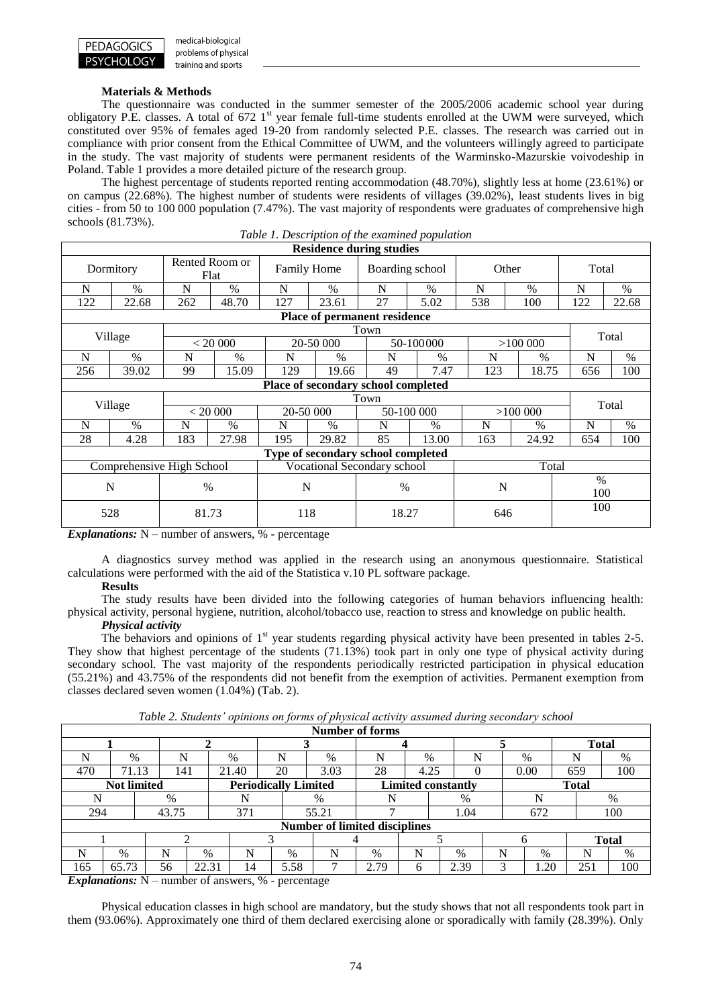

### **Materials & Methods**

The questionnaire was conducted in the summer semester of the 2005/2006 academic school year during obligatory P.E. classes. A total of 672  $1<sup>st</sup>$  year female full-time students enrolled at the UWM were surveyed, which constituted over 95% of females aged 19-20 from randomly selected P.E. classes. The research was carried out in compliance with prior consent from the Ethical Committee of UWM, and the volunteers willingly agreed to participate in the study. The vast majority of students were permanent residents of the Warminsko-Mazurskie voivodeship in Poland. Table 1 provides a more detailed picture of the research group.

The highest percentage of students reported renting accommodation (48.70%), slightly less at home (23.61%) or on campus (22.68%). The highest number of students were residents of villages (39.02%), least students lives in big cities - from 50 to 100 000 population (7.47%). The vast majority of respondents were graduates of comprehensive high schools (81.73%).

|                                     |                                     |                        |       |             |       | <b>Residence during studies</b>    |               |         |               |       |       |  |  |  |
|-------------------------------------|-------------------------------------|------------------------|-------|-------------|-------|------------------------------------|---------------|---------|---------------|-------|-------|--|--|--|
|                                     | Dormitory                           | Rented Room or<br>Flat |       | Family Home |       | Boarding school                    |               | Other   |               | Total |       |  |  |  |
| N                                   | $\%$                                | N                      | $\%$  | N           | $\%$  | N                                  | $\%$          | N       | $\%$          | N     | $\%$  |  |  |  |
| 122                                 | 22.68                               | 262                    | 48.70 | 127         | 23.61 | 27                                 | 5.02          | 538     | 100           | 122   | 22.68 |  |  |  |
|                                     | <b>Place of permanent residence</b> |                        |       |             |       |                                    |               |         |               |       |       |  |  |  |
| Town<br>Village                     |                                     |                        |       |             |       |                                    |               |         |               |       |       |  |  |  |
|                                     |                                     | < 20000                |       | 20-50 000   |       |                                    | 50-100000     |         | >100000       |       | Total |  |  |  |
| N                                   | $\%$                                | N                      | $\%$  | N           | $\%$  | N                                  | $\frac{0}{0}$ | N       | $\frac{0}{0}$ | N     | $\%$  |  |  |  |
| 256                                 | 39.02                               | 99                     | 15.09 | 129         | 19.66 | 49                                 | 7.47          | 123     | 18.75         | 656   | 100   |  |  |  |
| Place of secondary school completed |                                     |                        |       |             |       |                                    |               |         |               |       |       |  |  |  |
|                                     | Village                             |                        |       |             |       | Town                               |               |         |               |       | Total |  |  |  |
|                                     |                                     | < 20000                |       | 20-50 000   |       | 50-100 000                         |               | >100000 |               |       |       |  |  |  |
| N                                   | $\%$                                | N                      | $\%$  | N           | $\%$  | N                                  | $\%$          | N       | $\%$          | N     | $\%$  |  |  |  |
| 28                                  | 4.28                                | 183                    | 27.98 | 195         | 29.82 | 85                                 | 13.00         | 163     | 24.92         | 654   | 100   |  |  |  |
|                                     |                                     |                        |       |             |       | Type of secondary school completed |               |         |               |       |       |  |  |  |
|                                     | Comprehensive High School           |                        |       |             |       | <b>Vocational Secondary school</b> |               |         | Total         |       |       |  |  |  |
|                                     | N                                   | $\%$                   |       |             |       |                                    |               |         |               | $\%$  |       |  |  |  |
|                                     |                                     |                        |       | N           |       | $\%$                               |               | N       |               | 100   |       |  |  |  |
|                                     | 528                                 | 81.73                  |       | 118         |       | 18.27                              |               | 646     |               | 100   |       |  |  |  |
|                                     |                                     |                        |       |             |       |                                    |               |         |               |       |       |  |  |  |

| Table 1. Description of the examined population |
|-------------------------------------------------|
|-------------------------------------------------|

*Explanations:* N – number of answers, % - percentage

A diagnostics survey method was applied in the research using an anonymous questionnaire. Statistical calculations were performed with the aid of the Statistica v.10 PL software package.

#### **Results**

The study results have been divided into the following categories of human behaviors influencing health: physical activity, personal hygiene, nutrition, alcohol/tobacco use, reaction to stress and knowledge on public health.

## *Physical activity*

The behaviors and opinions of  $1<sup>st</sup>$  year students regarding physical activity have been presented in tables 2-5. They show that highest percentage of the students (71.13%) took part in only one type of physical activity during secondary school. The vast majority of the respondents periodically restricted participation in physical education (55.21%) and 43.75% of the respondents did not benefit from the exemption of activities. Permanent exemption from classes declared seven women (1.04%) (Tab. 2).

|     |                                      |       |       |       |                             | Number of forms |      |      |                           |   |      |              |              |  |  |
|-----|--------------------------------------|-------|-------|-------|-----------------------------|-----------------|------|------|---------------------------|---|------|--------------|--------------|--|--|
|     |                                      |       |       |       |                             |                 |      |      |                           |   |      | <b>Total</b> |              |  |  |
| N   | $\%$                                 |       | N     | $\%$  | N                           | $\%$            | N    | $\%$ |                           |   | $\%$ | N            | %            |  |  |
| 470 | 71.13                                |       | 141   | 21.40 | 20                          | 3.03            | 28   | 4.25 |                           |   | 0.00 | 659          | 100          |  |  |
|     | <b>Not limited</b>                   |       |       |       | <b>Periodically Limited</b> |                 |      |      | <b>Limited constantly</b> |   |      | <b>Total</b> |              |  |  |
| N   |                                      | $\%$  |       |       |                             | $\%$            |      |      | $\%$                      |   | N    |              | $\%$         |  |  |
| 294 |                                      | 43.75 |       | 371   |                             | 55.21<br>1.04   |      |      | 672                       |   | 100  |              |              |  |  |
|     | <b>Number of limited disciplines</b> |       |       |       |                             |                 |      |      |                           |   |      |              |              |  |  |
|     |                                      |       |       |       |                             |                 |      |      |                           |   |      |              | <b>Total</b> |  |  |
| N   | $\%$                                 | N     | $\%$  | N     | $\%$                        | N               | $\%$ | N    | $\%$                      | N | $\%$ | N            | $\%$         |  |  |
| 165 | 65.73                                | 56    | 22.31 | 14    | 5.58                        | ⇁               | 2.79 | 6    | 2.39                      | 3 | .20  | 251          | 100          |  |  |

*Explanations:* N – number of answers, % - percentage

Physical education classes in high school are mandatory, but the study shows that not all respondents took part in them (93.06%). Approximately one third of them declared exercising alone or sporadically with family (28.39%). Only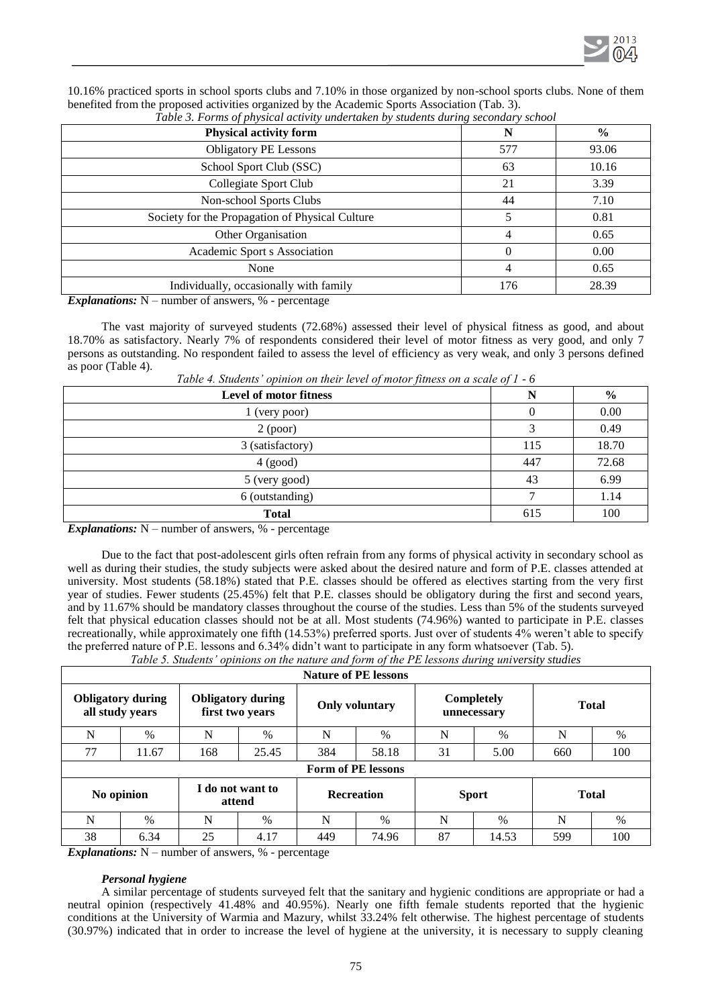

10.16% practiced sports in school sports clubs and 7.10% in those organized by non-school sports clubs. None of them benefited from the proposed activities organized by the Academic Sports Association (Tab. 3). *Table 3. Forms of physical activity undertaken by students during secondary school*

| <b>Physical activity form</b>                   | N        | $\frac{6}{6}$ |
|-------------------------------------------------|----------|---------------|
| <b>Obligatory PE Lessons</b>                    | 577      | 93.06         |
| School Sport Club (SSC)                         | 63       | 10.16         |
| Collegiate Sport Club                           | 21       | 3.39          |
| Non-school Sports Clubs                         | 44       | 7.10          |
| Society for the Propagation of Physical Culture |          | 0.81          |
| Other Organisation                              | 4        | 0.65          |
| Academic Sport s Association                    | $\Omega$ | 0.00          |
| None                                            | 4        | 0.65          |
| Individually, occasionally with family          | 176      | 28.39         |

*Explanations:* N – number of answers, % - percentage

The vast majority of surveyed students (72.68%) assessed their level of physical fitness as good, and about 18.70% as satisfactory. Nearly 7% of respondents considered their level of motor fitness as very good, and only 7 persons as outstanding. No respondent failed to assess the level of efficiency as very weak, and only 3 persons defined as poor (Table 4).

| Level of motor fitness | N   | $\frac{0}{0}$ |
|------------------------|-----|---------------|
| 1 (very poor)          | O   | 0.00          |
| 2 (poor)               |     | 0.49          |
| 3 (satisfactory)       | 115 | 18.70         |
| 4 (good)               | 447 | 72.68         |
| 5 (very good)          | 43  | 6.99          |
| 6 (outstanding)        |     | 1.14          |
| <b>Total</b>           | 615 | 100           |

| Table 4. Students' opinion on their level of motor fitness on a scale of 1 - 6 |  |
|--------------------------------------------------------------------------------|--|
|--------------------------------------------------------------------------------|--|

*Explanations:* N – number of answers, % - percentage

Due to the fact that post-adolescent girls often refrain from any forms of physical activity in secondary school as well as during their studies, the study subjects were asked about the desired nature and form of P.E. classes attended at university. Most students (58.18%) stated that P.E. classes should be offered as electives starting from the very first year of studies. Fewer students (25.45%) felt that P.E. classes should be obligatory during the first and second years, and by 11.67% should be mandatory classes throughout the course of the studies. Less than 5% of the students surveyed felt that physical education classes should not be at all. Most students (74.96%) wanted to participate in P.E. classes recreationally, while approximately one fifth (14.53%) preferred sports. Just over of students 4% weren't able to specify the preferred nature of P.E. lessons and 6.34% didn't want to participate in any form whatsoever (Tab. 5).

*Table 5. Students' opinions on the nature and form of the PE lessons during university studies*

|            |                                             |                            |                                             |     | <b>Nature of PE lessons</b> |    | $\cdot$                   |              |      |  |  |
|------------|---------------------------------------------|----------------------------|---------------------------------------------|-----|-----------------------------|----|---------------------------|--------------|------|--|--|
|            | <b>Obligatory during</b><br>all study years |                            | <b>Obligatory during</b><br>first two years |     | <b>Only voluntary</b>       |    | Completely<br>unnecessary | <b>Total</b> |      |  |  |
| N          | $\%$                                        | N                          | $\%$                                        | N   | $\%$                        | N  | $\%$                      | N            | $\%$ |  |  |
| 77         | 11.67                                       | 168                        | 25.45                                       | 384 | 58.18                       | 31 | 5.00                      | 660          | 100  |  |  |
|            |                                             |                            |                                             |     | <b>Form of PE lessons</b>   |    |                           |              |      |  |  |
| No opinion |                                             | I do not want to<br>attend |                                             |     | <b>Recreation</b>           |    | <b>Sport</b>              | <b>Total</b> |      |  |  |
| N          | $\frac{0}{0}$                               | N                          | $\%$                                        | N   | $\frac{0}{0}$               | N  | $\%$                      | N            | $\%$ |  |  |
| 38         | 6.34                                        | 25<br>4.17                 |                                             | 449 | 74.96                       | 87 | 14.53                     | 599          | 100  |  |  |

*Explanations:* N – number of answers, % - percentage

#### *Personal hygiene*

A similar percentage of students surveyed felt that the sanitary and hygienic conditions are appropriate or had a neutral opinion (respectively 41.48% and 40.95%). Nearly one fifth female students reported that the hygienic conditions at the University of Warmia and Mazury, whilst 33.24% felt otherwise. The highest percentage of students (30.97%) indicated that in order to increase the level of hygiene at the university, it is necessary to supply cleaning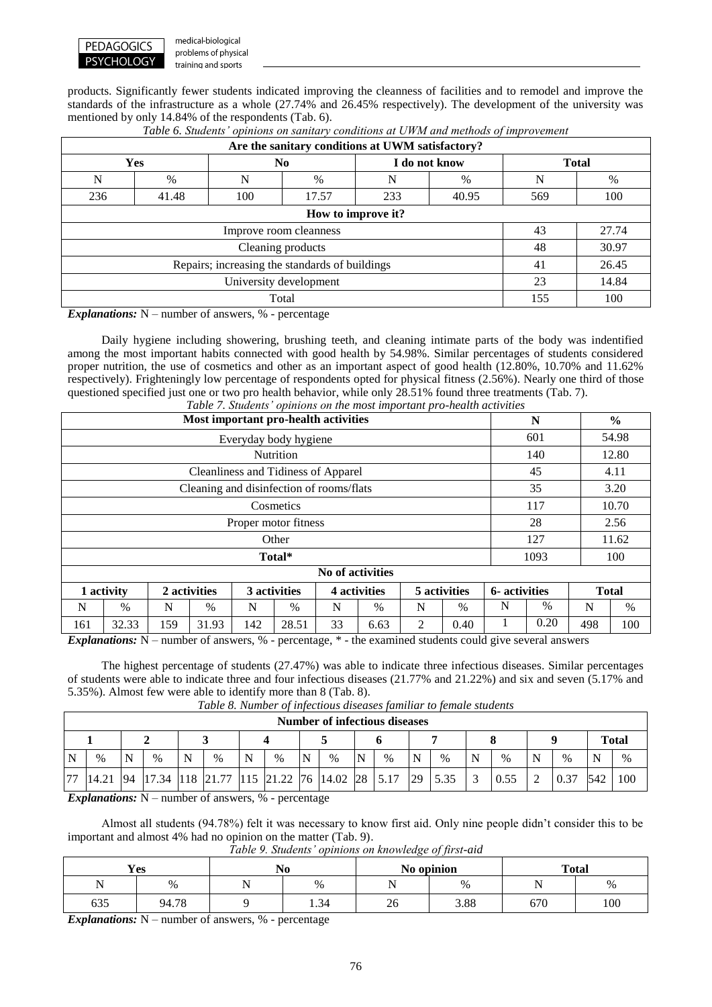

products. Significantly fewer students indicated improving the cleanness of facilities and to remodel and improve the standards of the infrastructure as a whole (27.74% and 26.45% respectively). The development of the university was mentioned by only 14.84% of the respondents (Tab. 6).

|                    |                                                |     | Are the sanitary conditions at UWM satisfactory? |       |       |    |       |  |  |  |  |  |
|--------------------|------------------------------------------------|-----|--------------------------------------------------|-------|-------|----|-------|--|--|--|--|--|
|                    | <b>Yes</b>                                     |     | <b>Total</b>                                     |       |       |    |       |  |  |  |  |  |
| N                  | $\%$                                           | N   | $\%$                                             | N     | $\%$  | N  | $\%$  |  |  |  |  |  |
| 236                | 41.48                                          | 569 | 100                                              |       |       |    |       |  |  |  |  |  |
| How to improve it? |                                                |     |                                                  |       |       |    |       |  |  |  |  |  |
|                    |                                                |     | 43                                               | 27.74 |       |    |       |  |  |  |  |  |
|                    |                                                |     | Cleaning products                                |       |       | 48 | 30.97 |  |  |  |  |  |
|                    | Repairs; increasing the standards of buildings | 41  | 26.45                                            |       |       |    |       |  |  |  |  |  |
|                    | University development<br>23                   |     |                                                  |       | 14.84 |    |       |  |  |  |  |  |
|                    | 155<br>Total                                   |     |                                                  |       | 100   |    |       |  |  |  |  |  |

|  |  | Table 6. Students' opinions on sanitary conditions at UWM and methods of improvement |  |  |  |
|--|--|--------------------------------------------------------------------------------------|--|--|--|
|  |  |                                                                                      |  |  |  |

*Explanations:*  $N$  – number of answers,  $%$  - percentage

Daily hygiene including showering, brushing teeth, and cleaning intimate parts of the body was indentified among the most important habits connected with good health by 54.98%. Similar percentages of students considered proper nutrition, the use of cosmetics and other as an important aspect of good health (12.80%, 10.70% and 11.62% respectively). Frighteningly low percentage of respondents opted for physical fitness (2.56%). Nearly one third of those questioned specified just one or two pro health behavior, while only 28.51% found three treatments (Tab. 7). *Table 7. Students' opinions on the most important pro-health activities*

|                                                                            |                                                                  |   | Most important pro-health activities |   |                       |                  |      |   |      |               | N    |              | $\frac{6}{6}$ |  |
|----------------------------------------------------------------------------|------------------------------------------------------------------|---|--------------------------------------|---|-----------------------|------------------|------|---|------|---------------|------|--------------|---------------|--|
|                                                                            |                                                                  |   |                                      |   | Everyday body hygiene |                  |      |   |      |               | 601  |              | 54.98         |  |
|                                                                            |                                                                  |   |                                      |   | <b>Nutrition</b>      |                  |      |   |      |               | 140  |              | 12.80         |  |
|                                                                            | 45                                                               |   | 4.11                                 |   |                       |                  |      |   |      |               |      |              |               |  |
| Cleaning and disinfection of rooms/flats<br>35                             |                                                                  |   |                                      |   |                       |                  |      |   |      |               |      |              |               |  |
| 117<br>Cosmetics                                                           |                                                                  |   |                                      |   |                       |                  |      |   |      |               |      |              | 10.70         |  |
| 28<br>Proper motor fitness                                                 |                                                                  |   |                                      |   |                       |                  |      |   |      |               |      |              | 2.56          |  |
|                                                                            |                                                                  |   |                                      |   | Other                 |                  |      |   |      |               | 127  |              | 11.62         |  |
|                                                                            |                                                                  |   |                                      |   | Total*                |                  |      |   |      |               | 1093 |              | 100           |  |
|                                                                            |                                                                  |   |                                      |   |                       | No of activities |      |   |      |               |      |              |               |  |
| 1 activity<br>2 activities<br>3 activities<br>4 activities<br>5 activities |                                                                  |   |                                      |   |                       |                  |      |   |      | 6- activities |      | <b>Total</b> |               |  |
| N                                                                          | $\%$                                                             | N | $\%$                                 | N | $\%$                  | N                | $\%$ | N | $\%$ | N             | $\%$ | N            | $\%$          |  |
| 161                                                                        | 159<br>33<br>32.33<br>31.93<br>142<br>28.51<br>2<br>0.40<br>6.63 |   |                                      |   |                       |                  |      |   |      |               |      | 498          | 100           |  |

*Explanations:* N – number of answers, % - percentage,  $*$  - the examined students could give several answers

The highest percentage of students (27.47%) was able to indicate three infectious diseases. Similar percentages of students were able to indicate three and four infectious diseases (21.77% and 21.22%) and six and seven (5.17% and 5.35%). Almost few were able to identify more than 8 (Tab. 8).

*Table 8. Number of infectious diseases familiar to female students*

|    | <b>Number of infectious diseases</b> |    |       |     |       |   |      |   |                         |   |               |               |      |              |      |   |      |              |      |
|----|--------------------------------------|----|-------|-----|-------|---|------|---|-------------------------|---|---------------|---------------|------|--------------|------|---|------|--------------|------|
|    |                                      |    |       |     |       |   |      |   |                         |   |               |               |      |              |      |   |      | <b>Total</b> |      |
| N  | $\%$                                 | N  | $\%$  | N   | $\%$  | N | $\%$ | N | $\%$                    | N | $\frac{0}{0}$ | N             | $\%$ | N            | $\%$ | N | $\%$ | N            | $\%$ |
| 77 | 14.21                                | 94 | 17.34 | 118 | 21.77 |   |      |   | $115$ 21.22 76 14.02 28 |   | 5.17          | <sup>29</sup> | 5.35 | $\mathbf{r}$ | 0.55 | ി | 0.37 | 542          | 100  |

*Explanations:* N – number of answers, % - percentage

Almost all students (94.78%) felt it was necessary to know first aid. Only nine people didn't consider this to be important and almost 4% had no opinion on the matter (Tab. 9).

|  | Table 9. Students' opinions on knowledge of first-aid |  |
|--|-------------------------------------------------------|--|
|  |                                                       |  |

| Yes                          |       | No   | No opinion   |      | <b>Total</b> |     |  |
|------------------------------|-------|------|--------------|------|--------------|-----|--|
| $\mathbf{v}$<br>$\mathbf{r}$ | %     | $\%$ |              | %    |              | %   |  |
| 635                          | 94.78 | 1.34 | $\sim$<br>26 | 3.88 | 670          | 100 |  |

*Explanations:* N – number of answers, % - percentage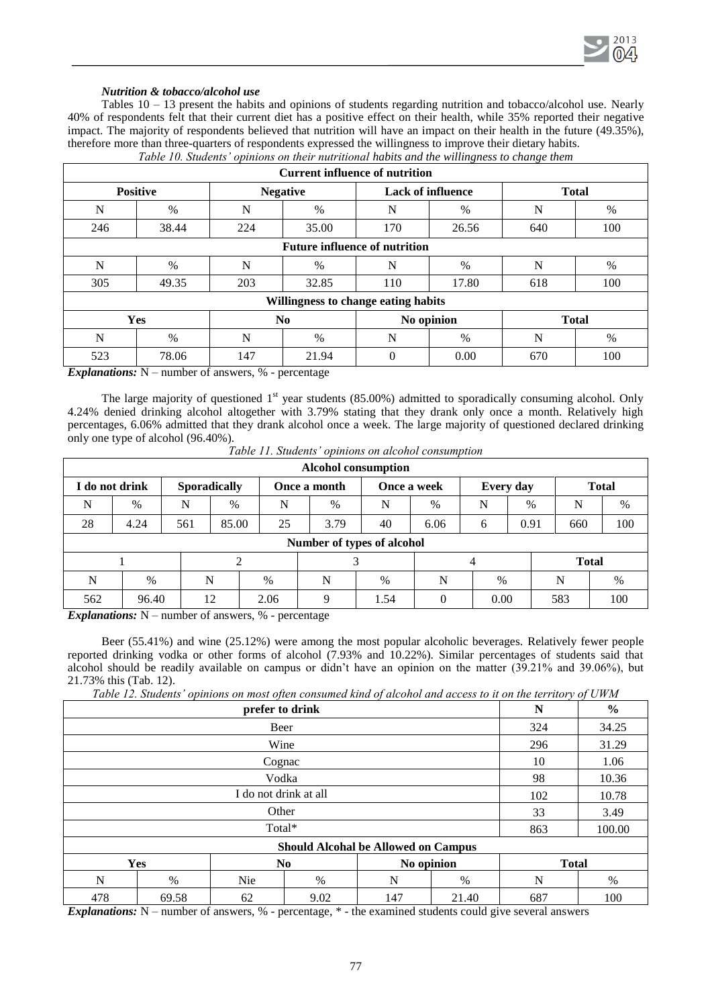# *Nutrition & tobacco/alcohol use*

Tables 10 – 13 present the habits and opinions of students regarding nutrition and tobacco/alcohol use. Nearly 40% of respondents felt that their current diet has a positive effect on their health, while 35% reported their negative impact. The majority of respondents believed that nutrition will have an impact on their health in the future (49.35%), therefore more than three-quarters of respondents expressed the willingness to improve their dietary habits.

|                                      | <b>Current influence of nutrition</b> |     |                 |                                     |                          |              |      |  |  |  |  |
|--------------------------------------|---------------------------------------|-----|-----------------|-------------------------------------|--------------------------|--------------|------|--|--|--|--|
|                                      | <b>Positive</b>                       |     | <b>Negative</b> |                                     | <b>Lack of influence</b> | <b>Total</b> |      |  |  |  |  |
| N                                    | $\%$                                  | N   | $\%$            | N                                   | $\%$                     | N            | $\%$ |  |  |  |  |
| 246                                  | 38.44                                 | 224 | 35.00           | 170                                 | 26.56                    | 640          | 100  |  |  |  |  |
| <b>Future influence of nutrition</b> |                                       |     |                 |                                     |                          |              |      |  |  |  |  |
| N                                    | $\%$                                  | N   | $\%$            | N                                   | $\%$                     | N            | $\%$ |  |  |  |  |
| 305                                  | 49.35                                 | 203 | 32.85           | 110                                 | 17.80                    | 618          | 100  |  |  |  |  |
|                                      |                                       |     |                 | Willingness to change eating habits |                          |              |      |  |  |  |  |
|                                      | Yes                                   |     | N <sub>0</sub>  |                                     | No opinion               | <b>Total</b> |      |  |  |  |  |
| N                                    | %                                     | N   | %               | N                                   | $\%$                     | N            | %    |  |  |  |  |
| 523                                  | 78.06                                 | 147 | 21.94           | 0                                   | 0.00                     | 670          | 100  |  |  |  |  |

*Table 10. Students' opinions on their nutritional habits and the willingness to change them*

*Explanations:* N – number of answers, % - percentage

The large majority of questioned  $1<sup>st</sup>$  year students (85.00%) admitted to sporadically consuming alcohol. Only 4.24% denied drinking alcohol altogether with 3.79% stating that they drank only once a month. Relatively high percentages, 6.06% admitted that they drank alcohol once a week. The large majority of questioned declared drinking only one type of alcohol (96.40%).

| Table 11. Students' opinions on alcohol consumption |  |  |
|-----------------------------------------------------|--|--|
|                                                     |  |  |

|                                       | <b>Alcohol consumption</b> |     |              |      |             |                            |           |      |              |              |      |  |
|---------------------------------------|----------------------------|-----|--------------|------|-------------|----------------------------|-----------|------|--------------|--------------|------|--|
| I do not drink<br><b>Sporadically</b> |                            |     | Once a month |      | Once a week |                            | Every day |      | <b>Total</b> |              |      |  |
| N                                     | $\%$                       | N   | $\%$         | N    | $\%$        | N                          | $\%$      | N    | $\%$         | N            | %    |  |
| 28                                    | 4.24                       | 561 | 85.00        | 25   | 3.79        | 40                         | 6.06      | 6    | 0.91         | 660          | 100  |  |
|                                       |                            |     |              |      |             | Number of types of alcohol |           |      |              |              |      |  |
|                                       |                            |     |              |      |             |                            |           |      |              | <b>Total</b> |      |  |
| N                                     | $\%$                       | N   |              | $\%$ | N           | $\%$                       | N         | $\%$ |              | N            | $\%$ |  |
| 562                                   | 96.40                      |     | 12           | 2.06 | 9           | 1.54                       | $\Omega$  | 0.00 |              | 583          | 100  |  |

*Explanations:* N – number of answers, % - percentage

Beer (55.41%) and wine (25.12%) were among the most popular alcoholic beverages. Relatively fewer people reported drinking vodka or other forms of alcohol (7.93% and 10.22%). Similar percentages of students said that alcohol should be readily available on campus or didn't have an opinion on the matter (39.21% and 39.06%), but 21.73% this (Tab. 12).

*Table 12. Students' opinions on most often consumed kind of alcohol and access to it on the territory of UWM*

|     |             | prefer to drink |                                            |            |       | N            | $\frac{0}{0}$ |
|-----|-------------|-----------------|--------------------------------------------|------------|-------|--------------|---------------|
|     |             | Beer            |                                            |            |       | 324          | 34.25         |
|     | Wine<br>296 |                 |                                            |            | 31.29 |              |               |
|     | Cognac      |                 |                                            |            |       |              |               |
|     |             | 98              | 10.36                                      |            |       |              |               |
|     |             | 102             | 10.78                                      |            |       |              |               |
|     |             | Other           |                                            |            |       | 33           | 3.49          |
|     |             | Total*          |                                            |            |       | 863          | 100.00        |
|     |             |                 | <b>Should Alcohal be Allowed on Campus</b> |            |       |              |               |
|     | Yes         | N <sub>0</sub>  |                                            | No opinion |       | <b>Total</b> |               |
| N   | %           | Nie             | $\%$                                       | N          | %     | N            | %             |
| 478 | 69.58       | 62              | 9.02                                       | 147        | 21.40 | 687          | 100           |

*Explanations:* N – number of answers, % - percentage,  $*$  - the examined students could give several answers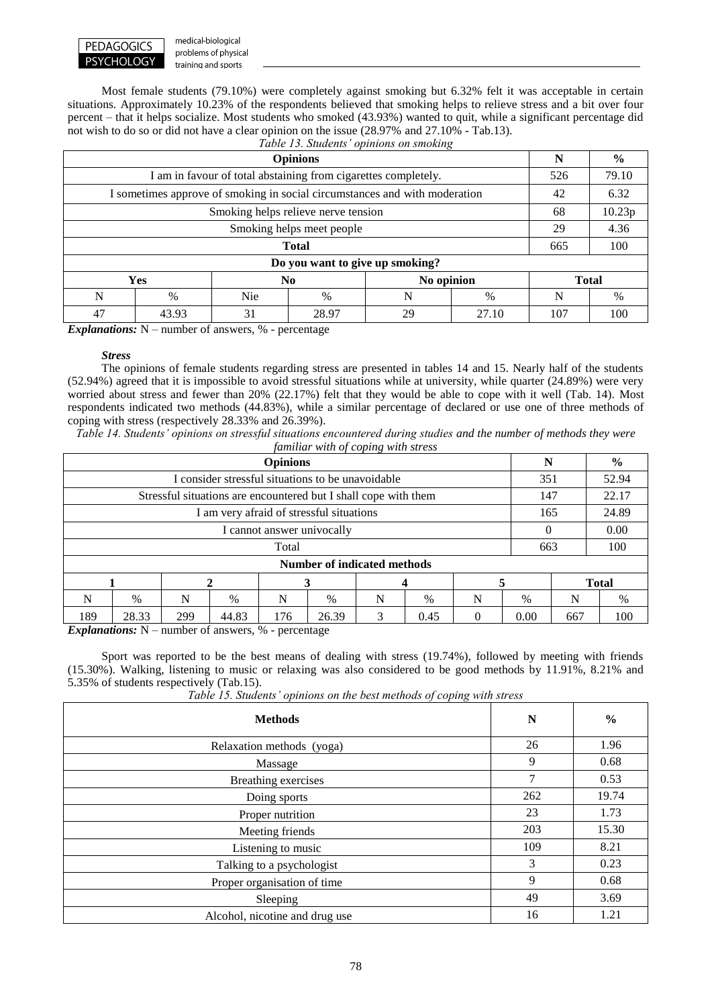

Most female students (79.10%) were completely against smoking but 6.32% felt it was acceptable in certain situations. Approximately 10.23% of the respondents believed that smoking helps to relieve stress and a bit over four percent – that it helps socialize. Most students who smoked (43.93%) wanted to quit, while a significant percentage did not wish to do so or did not have a clear opinion on the issue (28.97% and 27.10% - Tab.13).

|                                                                            |                                                                |            | <b>Opinions</b> |                                 |       | N            | $\frac{0}{0}$ |  |
|----------------------------------------------------------------------------|----------------------------------------------------------------|------------|-----------------|---------------------------------|-------|--------------|---------------|--|
|                                                                            | I am in favour of total abstaining from cigarettes completely. |            |                 |                                 |       |              |               |  |
| I sometimes approve of smoking in social circumstances and with moderation | 42                                                             | 6.32       |                 |                                 |       |              |               |  |
| Smoking helps relieve nerve tension                                        |                                                                |            |                 |                                 |       |              | 10.23p        |  |
|                                                                            | Smoking helps meet people                                      |            |                 |                                 |       |              |               |  |
|                                                                            |                                                                |            | <b>Total</b>    |                                 |       | 665          | 100           |  |
|                                                                            |                                                                |            |                 | Do you want to give up smoking? |       |              |               |  |
|                                                                            | <b>Yes</b>                                                     |            | N <sub>0</sub>  | No opinion                      |       | <b>Total</b> |               |  |
| N                                                                          | $\%$                                                           | <b>Nie</b> | $\%$            | $\%$<br>N                       |       | N            | $\%$          |  |
| 47                                                                         | 43.93                                                          | 31         | 28.97           | 29                              | 27.10 | 107          | 100           |  |

*Table 13. Students' opinions on smoking*

*Explanations:*  $N$  – number of answers,  $%$  - percentage

### *Stress*

The opinions of female students regarding stress are presented in tables 14 and 15. Nearly half of the students (52.94%) agreed that it is impossible to avoid stressful situations while at university, while quarter (24.89%) were very worried about stress and fewer than 20% (22.17%) felt that they would be able to cope with it well (Tab. 14). Most respondents indicated two methods (44.83%), while a similar percentage of declared or use one of three methods of coping with stress (respectively 28.33% and 26.39%).

*Table 14. Students' opinions on stressful situations encountered during studies and the number of methods they were familiar with of coping with stress*

|                                                                 |                                                   |     |       | <b>Opinions</b> |                             |   |          |       | N        |              | $\frac{0}{0}$ |
|-----------------------------------------------------------------|---------------------------------------------------|-----|-------|-----------------|-----------------------------|---|----------|-------|----------|--------------|---------------|
|                                                                 | I consider stressful situations to be unavoidable |     |       |                 |                             |   |          | 351   |          | 52.94        |               |
| Stressful situations are encountered but I shall cope with them |                                                   |     |       |                 |                             |   | 147      |       | 22.17    |              |               |
| I am very afraid of stressful situations<br>165                 |                                                   |     |       |                 |                             |   |          | 24.89 |          |              |               |
| I cannot answer univocally                                      |                                                   |     |       |                 |                             |   | $\Omega$ |       | $0.00\,$ |              |               |
|                                                                 |                                                   |     |       | Total           |                             |   |          |       | 663      |              | 100           |
|                                                                 |                                                   |     |       |                 | Number of indicated methods |   |          |       |          |              |               |
|                                                                 |                                                   |     |       |                 |                             |   |          |       |          | <b>Total</b> |               |
| N                                                               | $\%$                                              | N   | $\%$  | N               | $\%$                        | N | $\%$     | N     | $\%$     | N            | %             |
| 189                                                             | 28.33                                             | 299 | 44.83 | 176             | 26.39                       | 3 | 0.45     |       | 0.00     | 667          | 100           |

*Explanations:* N – number of answers, % - percentage

Sport was reported to be the best means of dealing with stress (19.74%), followed by meeting with friends (15.30%). Walking, listening to music or relaxing was also considered to be good methods by 11.91%, 8.21% and 5.35% of students respectively (Tab.15).

*Table 15. Students' opinions on the best methods of coping with stress*

| <b>Methods</b>                 | N   | $\frac{0}{0}$ |
|--------------------------------|-----|---------------|
| Relaxation methods (yoga)      | 26  | 1.96          |
| Massage                        | 9   | 0.68          |
| Breathing exercises            | 7   | 0.53          |
| Doing sports                   | 262 | 19.74         |
| Proper nutrition               | 23  | 1.73          |
| Meeting friends                | 203 | 15.30         |
| Listening to music             | 109 | 8.21          |
| Talking to a psychologist      | 3   | 0.23          |
| Proper organisation of time    | 9   | 0.68          |
| Sleeping                       | 49  | 3.69          |
| Alcohol, nicotine and drug use | 16  | 1.21          |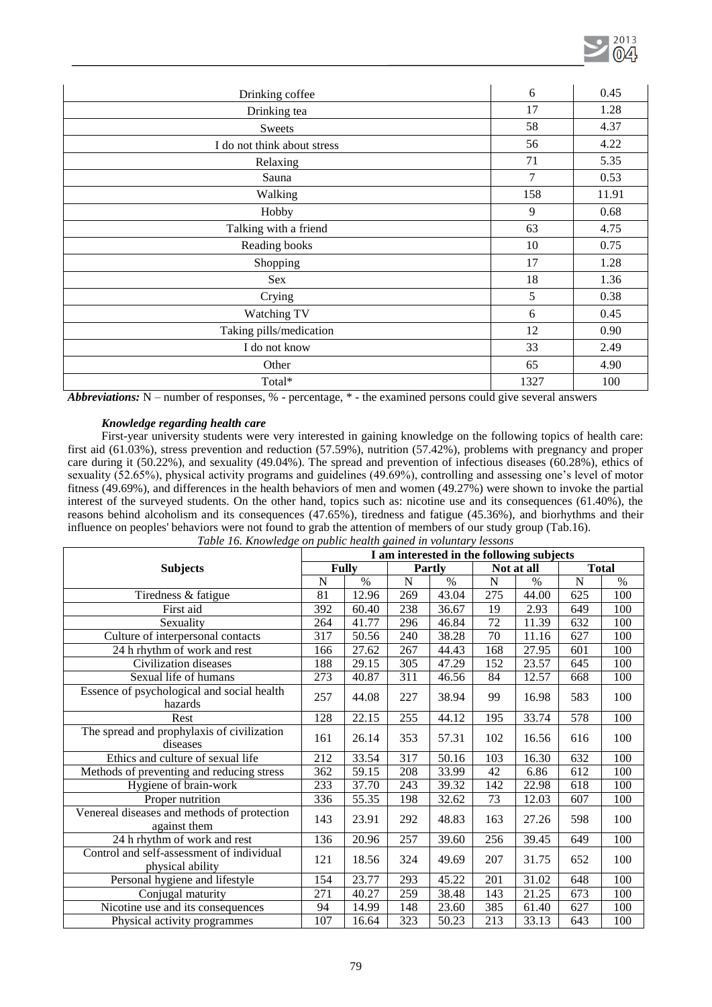

| Drinking coffee             | 6    | 0.45  |
|-----------------------------|------|-------|
| Drinking tea                | 17   | 1.28  |
| Sweets                      | 58   | 4.37  |
| I do not think about stress | 56   | 4.22  |
| Relaxing                    | 71   | 5.35  |
| Sauna                       | 7    | 0.53  |
| Walking                     | 158  | 11.91 |
| Hobby                       | 9    | 0.68  |
| Talking with a friend       | 63   | 4.75  |
| Reading books               | 10   | 0.75  |
| Shopping                    | 17   | 1.28  |
| Sex                         | 18   | 1.36  |
| Crying                      | 5    | 0.38  |
| Watching TV                 | 6    | 0.45  |
| Taking pills/medication     | 12   | 0.90  |
| I do not know               | 33   | 2.49  |
| Other                       | 65   | 4.90  |
| Total*                      | 1327 | 100   |

*Abbreviations:* N – number of responses, % - percentage, \* - the examined persons could give several answers

## *Knowledge regarding health care*

First-year university students were very interested in gaining knowledge on the following topics of health care: first aid (61.03%), stress prevention and reduction (57.59%), nutrition (57.42%), problems with pregnancy and proper care during it (50.22%), and sexuality (49.04%). The spread and prevention of infectious diseases (60.28%), ethics of sexuality (52.65%), physical activity programs and guidelines (49.69%), controlling and assessing one's level of motor fitness (49.69%), and differences in the health behaviors of men and women (49.27%) were shown to invoke the partial interest of the surveyed students. On the other hand, topics such as: nicotine use and its consequences (61.40%), the reasons behind alcoholism and its consequences (47.65%), tiredness and fatigue (45.36%), and biorhythms and their influence on peoples' behaviors were not found to grab the attention of members of our study group (Tab.16). *Table 16. Knowledge on public health gained in voluntary lessons*

|                                                               |     |              |     | I am interested in the following subjects |                 |            |     |              |
|---------------------------------------------------------------|-----|--------------|-----|-------------------------------------------|-----------------|------------|-----|--------------|
| <b>Subjects</b>                                               |     | <b>Fully</b> |     | <b>Partly</b>                             |                 | Not at all |     | <b>Total</b> |
|                                                               | N   | $\%$         | N   | $\%$                                      | N               | $\%$       | N   | $\%$         |
| Tiredness & fatigue                                           | 81  | 12.96        | 269 | 43.04                                     | 275             | 44.00      | 625 | 100          |
| First aid                                                     | 392 | 60.40        | 238 | 36.67                                     | 19              | 2.93       | 649 | 100          |
| Sexuality                                                     | 264 | 41.77        | 296 | 46.84                                     | 72              | 11.39      | 632 | 100          |
| Culture of interpersonal contacts                             | 317 | 50.56        | 240 | 38.28                                     | $\overline{70}$ | 11.16      | 627 | 100          |
| 24 h rhythm of work and rest                                  | 166 | 27.62        | 267 | 44.43                                     | 168             | 27.95      | 601 | 100          |
| Civilization diseases                                         | 188 | 29.15        | 305 | 47.29                                     | 152             | 23.57      | 645 | 100          |
| Sexual life of humans                                         | 273 | 40.87        | 311 | 46.56                                     | 84              | 12.57      | 668 | 100          |
| Essence of psychological and social health<br>hazards         | 257 | 44.08        | 227 | 38.94                                     | 99              | 16.98      | 583 | 100          |
| Rest                                                          | 128 | 22.15        | 255 | 44.12                                     | 195             | 33.74      | 578 | 100          |
| The spread and prophylaxis of civilization<br>diseases        | 161 | 26.14        | 353 | 57.31                                     | 102             | 16.56      | 616 | 100          |
| Ethics and culture of sexual life                             | 212 | 33.54        | 317 | 50.16                                     | 103             | 16.30      | 632 | 100          |
| Methods of preventing and reducing stress                     | 362 | 59.15        | 208 | 33.99                                     | 42              | 6.86       | 612 | 100          |
| Hygiene of brain-work                                         | 233 | 37.70        | 243 | 39.32                                     | 142             | 22.98      | 618 | 100          |
| Proper nutrition                                              | 336 | 55.35        | 198 | $\overline{32.62}$                        | 73              | 12.03      | 607 | 100          |
| Venereal diseases and methods of protection<br>against them   | 143 | 23.91        | 292 | 48.83                                     | 163             | 27.26      | 598 | 100          |
| 24 h rhythm of work and rest                                  | 136 | 20.96        | 257 | 39.60                                     | 256             | 39.45      | 649 | 100          |
| Control and self-assessment of individual<br>physical ability | 121 | 18.56        | 324 | 49.69                                     | 207             | 31.75      | 652 | 100          |
| Personal hygiene and lifestyle                                | 154 | 23.77        | 293 | 45.22                                     | 201             | 31.02      | 648 | 100          |
| Conjugal maturity                                             | 271 | 40.27        | 259 | 38.48                                     | 143             | 21.25      | 673 | 100          |
| Nicotine use and its consequences                             | 94  | 14.99        | 148 | 23.60                                     | 385             | 61.40      | 627 | 100          |
| Physical activity programmes                                  | 107 | 16.64        | 323 | 50.23                                     | 213             | 33.13      | 643 | 100          |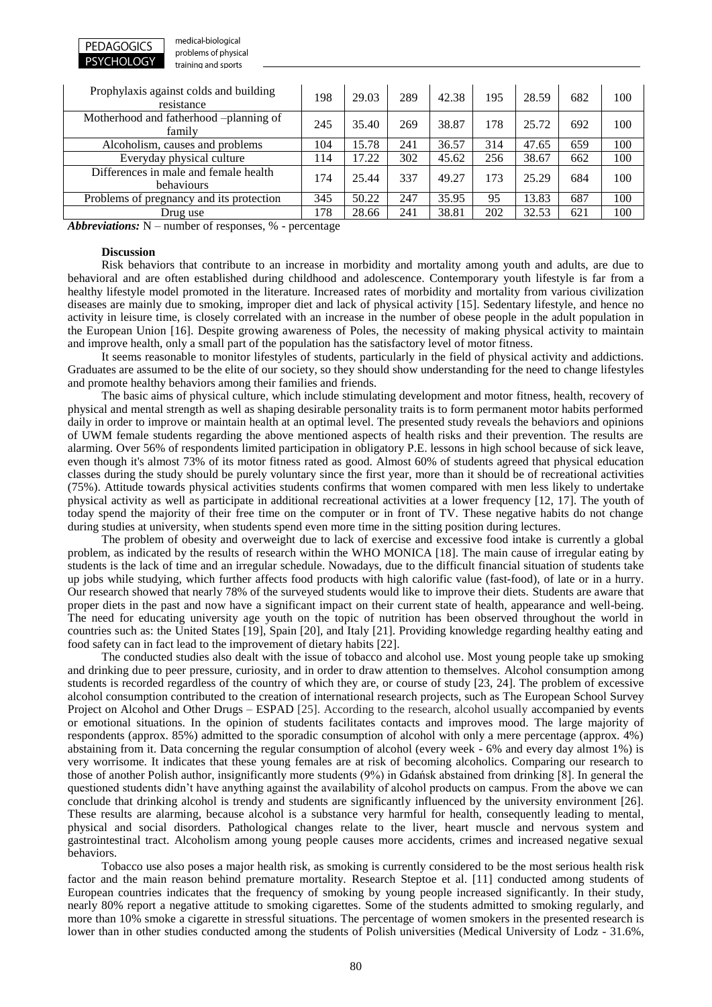

| Prophylaxis against colds and building<br>resistance | 198 | 29.03 | 289 | 42.38 | 195 | 28.59 | 682 | 100 |
|------------------------------------------------------|-----|-------|-----|-------|-----|-------|-----|-----|
| Motherhood and fatherhood -planning of<br>family     | 245 | 35.40 | 269 | 38.87 | 178 | 25.72 | 692 | 100 |
| Alcoholism, causes and problems                      | 104 | 15.78 | 241 | 36.57 | 314 | 47.65 | 659 | 100 |
| Everyday physical culture                            | 114 | 17.22 | 302 | 45.62 | 256 | 38.67 | 662 | 100 |
| Differences in male and female health<br>behaviours  | 174 | 25.44 | 337 | 49.27 | 173 | 25.29 | 684 | 100 |
| Problems of pregnancy and its protection             | 345 | 50.22 | 247 | 35.95 | 95  | 13.83 | 687 | 100 |
| Drug use                                             | 178 | 28.66 | 241 | 38.81 | 202 | 32.53 | 621 | 100 |

*Abbreviations:* N – number of responses, % - percentage

### **Discussion**

Risk behaviors that contribute to an increase in morbidity and mortality among youth and adults, are due to behavioral and are often established during childhood and adolescence. Contemporary youth lifestyle is far from a healthy lifestyle model promoted in the literature. Increased rates of morbidity and mortality from various civilization diseases are mainly due to smoking, improper diet and lack of physical activity [15]. Sedentary lifestyle, and hence no activity in leisure time, is closely correlated with an increase in the number of obese people in the adult population in the European Union [16]. Despite growing awareness of Poles, the necessity of making physical activity to maintain and improve health, only a small part of the population has the satisfactory level of motor fitness.

It seems reasonable to monitor lifestyles of students, particularly in the field of physical activity and addictions. Graduates are assumed to be the elite of our society, so they should show understanding for the need to change lifestyles and promote healthy behaviors among their families and friends.

The basic aims of physical culture, which include stimulating development and motor fitness, health, recovery of physical and mental strength as well as shaping desirable personality traits is to form permanent motor habits performed daily in order to improve or maintain health at an optimal level. The presented study reveals the behaviors and opinions of UWM female students regarding the above mentioned aspects of health risks and their prevention. The results are alarming. Over 56% of respondents limited participation in obligatory P.E. lessons in high school because of sick leave, even though it's almost 73% of its motor fitness rated as good. Almost 60% of students agreed that physical education classes during the study should be purely voluntary since the first year, more than it should be of recreational activities (75%). Attitude towards physical activities students confirms that women compared with men less likely to undertake physical activity as well as participate in additional recreational activities at a lower frequency [12, 17]. The youth of today spend the majority of their free time on the computer or in front of TV. These negative habits do not change during studies at university, when students spend even more time in the sitting position during lectures.

The problem of obesity and overweight due to lack of exercise and excessive food intake is currently a global problem, as indicated by the results of research within the WHO MONICA [18]. The main cause of irregular eating by students is the lack of time and an irregular schedule. Nowadays, due to the difficult financial situation of students take up jobs while studying, which further affects food products with high calorific value (fast-food), of late or in a hurry. Our research showed that nearly 78% of the surveyed students would like to improve their diets. Students are aware that proper diets in the past and now have a significant impact on their current state of health, appearance and well-being. The need for educating university age youth on the topic of nutrition has been observed throughout the world in countries such as: the United States [19], Spain [20], and Italy [21]. Providing knowledge regarding healthy eating and food safety can in fact lead to the improvement of dietary habits [22].

The conducted studies also dealt with the issue of tobacco and alcohol use. Most young people take up smoking and drinking due to peer pressure, curiosity, and in order to draw attention to themselves. Alcohol consumption among students is recorded regardless of the country of which they are, or course of study [23, 24]. The problem of excessive alcohol consumption contributed to the creation of international research projects, such as The European School Survey Project on Alcohol and Other Drugs – ESPAD [25]. According to the research, alcohol usually accompanied by events or emotional situations. In the opinion of students facilitates contacts and improves mood. The large majority of respondents (approx. 85%) admitted to the sporadic consumption of alcohol with only a mere percentage (approx. 4%) abstaining from it. Data concerning the regular consumption of alcohol (every week - 6% and every day almost 1%) is very worrisome. It indicates that these young females are at risk of becoming alcoholics. Comparing our research to those of another Polish author, insignificantly more students (9%) in Gdańsk abstained from drinking [8]. In general the questioned students didn't have anything against the availability of alcohol products on campus. From the above we can conclude that drinking alcohol is trendy and students are significantly influenced by the university environment [26]. These results are alarming, because alcohol is a substance very harmful for health, consequently leading to mental, physical and social disorders. Pathological changes relate to the liver, heart muscle and nervous system and gastrointestinal tract. Alcoholism among young people causes more accidents, crimes and increased negative sexual behaviors.

Tobacco use also poses a major health risk, as smoking is currently considered to be the most serious health risk factor and the main reason behind premature mortality. Research Steptoe et al. [11] conducted among students of European countries indicates that the frequency of smoking by young people increased significantly. In their study, nearly 80% report a negative attitude to smoking cigarettes. Some of the students admitted to smoking regularly, and more than 10% smoke a cigarette in stressful situations. The percentage of women smokers in the presented research is lower than in other studies conducted among the students of Polish universities (Medical University of Lodz - 31.6%,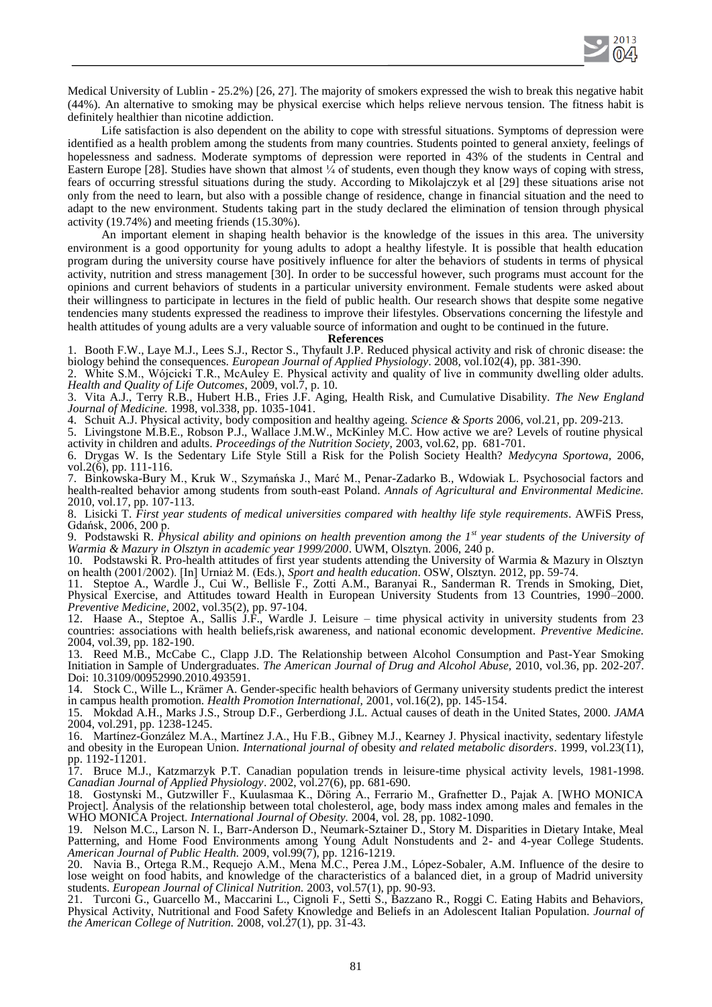

Medical University of Lublin - 25.2%) [26, 27]. The majority of smokers expressed the wish to break this negative habit (44%). An alternative to smoking may be physical exercise which helps relieve nervous tension. The fitness habit is definitely healthier than nicotine addiction.

Life satisfaction is also dependent on the ability to cope with stressful situations. Symptoms of depression were identified as a health problem among the students from many countries. Students pointed to general anxiety, feelings of hopelessness and sadness. Moderate symptoms of depression were reported in 43% of the students in Central and Eastern Europe [28]. Studies have shown that almost  $\frac{1}{4}$  of students, even though they know ways of coping with stress, fears of occurring stressful situations during the study. According to Mikolajczyk et al [29] these situations arise not only from the need to learn, but also with a possible change of residence, change in financial situation and the need to adapt to the new environment. Students taking part in the study declared the elimination of tension through physical activity (19.74%) and meeting friends (15.30%).

An important element in shaping health behavior is the knowledge of the issues in this area. The university environment is a good opportunity for young adults to adopt a healthy lifestyle. It is possible that health education program during the university course have positively influence for alter the behaviors of students in terms of physical activity, nutrition and stress management [30]. In order to be successful however, such programs must account for the opinions and current behaviors of students in a particular university environment. Female students were asked about their willingness to participate in lectures in the field of public health. Our research shows that despite some negative tendencies many students expressed the readiness to improve their lifestyles. Observations concerning the lifestyle and health attitudes of young adults are a very valuable source of information and ought to be continued in the future.

**References**

1. Booth F.W., Laye M.J., Lees S.J., Rector S., Thyfault J.P. Reduced physical activity and risk of chronic disease: the biology behind the consequences. *European Journal of Applied Physiology*. 2008, vol.102(4), pp. 381-390.

2. White S.M., Wójcicki T.R., McAuley E. Physical activity and quality of live in community dwelling older adults. *Health and Quality of Life Outcomes*, 2009, vol.7, p. 10.

3. Vita A.J., Terry R.B., Hubert H.B., Fries J.F. Aging, Health Risk, and Cumulative Disability. *The New England Journal of Medicine.* 1998, vol.338, pp. 1035-1041.

4. Schuit A.J. Physical activity, body composition and healthy ageing. *Science & Sports* 2006, vol.21, pp. 209-213.

5. Livingstone M.B.E., Robson P.J., Wallace J.M.W., McKinley M.C. How active we are? Levels of routine physical

activity in children and adults. *Proceedings of the Nutrition Society,* 2003, vol.62, pp. 681-701.

6. Drygas W. Is the Sedentary Life Style Still a Risk for the Polish Society Health? *Medycyna Sportowa,* 2006, vol. $2(6)$ , pp. 111-116.

7. Binkowska-Bury M., Kruk W., Szymańska J., Marć M., Penar-Zadarko B., Wdowiak L. Psychosocial factors and health-realted behavior among students from south-east Poland. *Annals of Agricultural and Environmental Medicine.*  2010, vol.17, pp. 107-113.

8. Lisicki T. *First year students of medical universities compared with healthy life style requirements*. AWFiS Press, Gdańsk, 2006, 200 p.

9. Podstawski R. *Physical ability and opinions on health prevention among the 1st year students of the University of Warmia & Mazury in Olsztyn in academic year 1999/2000*. UWM, Olsztyn. 2006, 240 p.

10. Podstawski R. Pro-health attitudes of first year students attending the University of Warmia & Mazury in Olsztyn on health (2001/2002). [In] Urniaż M. (Eds.), *Sport and health education*. OSW, Olsztyn. 2012, pp. 59-74.

11. Steptoe A., Wardle J., Cui W., Bellisle F., Zotti A.M., Baranyai R., Sanderman R. Trends in Smoking, Diet, Physical Exercise, and Attitudes toward Health in European University Students from 13 Countries, 1990–2000. *Preventive Medicine*, 2002, vol.35(2), pp. 97-104.

12. Haase A., Steptoe A., Sallis J.F., Wardle J. Leisure – time physical activity in university students from 23 countries: associations with health beliefs,risk awareness, and national economic development. *Preventive Medicine.*  2004, vol.39, pp. 182-190.

13. Reed M.B., McCabe C., Clapp J.D. The Relationship between Alcohol Consumption and Past-Year Smoking Initiation in Sample of Undergraduates. *The American Journal of Drug and Alcohol Abuse,* 2010, vol.36, pp. 202-207. Doi: 10.3109/00952990.2010.493591.

14. Stock C., Wille L., Krämer A. Gender-specific health behaviors of Germany university students predict the interest in campus health promotion. *Health Promotion International,* 2001, vol.16(2), pp. 145-154.

15. Mokdad A.H., Marks J.S., Stroup D.F., Gerberdiong J.L. Actual causes of death in the United States, 2000. *JAMA*  2004, vol.291, pp. 1238-1245.

16. Martínez-González M.A., Martínez J.A., Hu F.B., Gibney M.J., Kearney J. Physical inactivity, sedentary lifestyle and obesity in the European Union. *International journal of* obesity *and related metabolic disorders*. 1999, vol.23(11), pp. 1192-11201.

17. Bruce M.J., Katzmarzyk P.T. Canadian population trends in leisure-time physical activity levels, 1981-1998. *Canadian Journal of Applied Physiology*. 2002, vol.27(6), pp. 681-690.

18. Gostynski M., Gutzwiller F., Kuulasmaa K., Döring A., Ferrario M., Grafnetter D., Pajak A. [WHO MONICA Project]. Analysis of the relationship between total cholesterol, age, body mass index among males and females in the WHO MONICA Project. *International Journal of Obesity.* 2004, vol*.* 28, pp. 1082-1090.

19. Nelson M.C., Larson N. I., Barr-Anderson D., Neumark-Sztainer D., Story M. Disparities in Dietary Intake, Meal Patterning, and Home Food Environments among Young Adult Nonstudents and 2- and 4-year College Students. *American Journal of Public Health.* 2009, vol.99(7), pp. 1216-1219.

20. Navia B., Ortega R.M., Requejo A.M., Mena M.C., Perea J.M., López-Sobaler, A.M. Influence of the desire to lose weight on food habits, and knowledge of the characteristics of a balanced diet, in a group of Madrid university students. *European Journal of Clinical Nutrition.* 2003, vol.57(1), pp. 90-93.

21. Turconi G., Guarcello M., Maccarini L., Cignoli F., Setti S., Bazzano R., Roggi C. Eating Habits and Behaviors, Physical Activity, Nutritional and Food Safety Knowledge and Beliefs in an Adolescent Italian Population. *Journal of the American College of Nutrition.* 2008, vol.27(1), pp. 31-43.